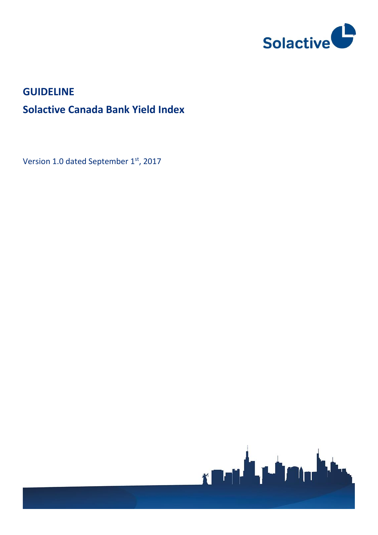

## **GUIDELINE**

# **Solactive Canada Bank Yield Index**

Version 1.0 dated September 1st, 2017

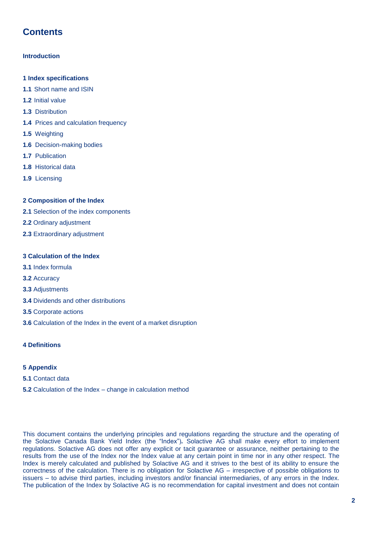## **Contents**

### **Introduction**

- **1 Index specifications**
- **1.1** Short name and ISIN
- **1.2** Initial value
- **1.3** Distribution
- **1.4** Prices and calculation frequency
- **1.5** Weighting
- **1.6** Decision-making bodies
- **1.7** Publication
- **1.8** Historical data
- **1.9** Licensing

### **2 Composition of the Index**

- **2.1** Selection of the index components
- **2.2** Ordinary adjustment
- **2.3** Extraordinary adjustment

### **3 Calculation of the Index**

- **3.1** Index formula
- **3.2** Accuracy
- **3.3** Adjustments
- **3.4** Dividends and other distributions
- **3.5** Corporate actions
- **3.6** Calculation of the Index in the event of a market disruption

### **4 Definitions**

### **5 Appendix**

- **5.1** Contact data
- **5.2** Calculation of the Index change in calculation method

This document contains the underlying principles and regulations regarding the structure and the operating of the Solactive Canada Bank Yield Index (the "Index")*.* Solactive AG shall make every effort to implement regulations. Solactive AG does not offer any explicit or tacit guarantee or assurance, neither pertaining to the results from the use of the Index nor the Index value at any certain point in time nor in any other respect. The Index is merely calculated and published by Solactive AG and it strives to the best of its ability to ensure the correctness of the calculation. There is no obligation for Solactive AG – irrespective of possible obligations to issuers – to advise third parties, including investors and/or financial intermediaries, of any errors in the Index. The publication of the Index by Solactive AG is no recommendation for capital investment and does not contain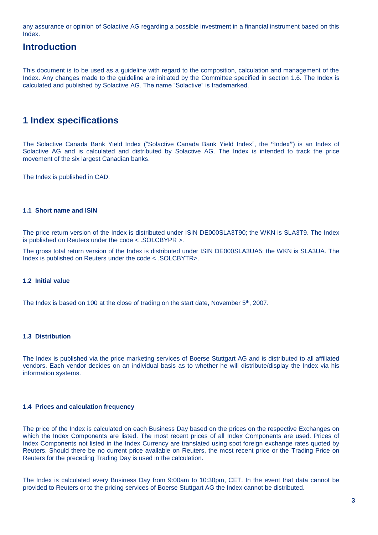any assurance or opinion of Solactive AG regarding a possible investment in a financial instrument based on this Index.

### **Introduction**

This document is to be used as a guideline with regard to the composition, calculation and management of the Index**.** Any changes made to the guideline are initiated by the Committee specified in section 1.6. The Index is calculated and published by Solactive AG. The name "Solactive" is trademarked.

### **1 Index specifications**

The Solactive Canada Bank Yield Index ("Solactive Canada Bank Yield Index", the **"**Index**"**) is an Index of Solactive AG and is calculated and distributed by Solactive AG. The Index is intended to track the price movement of the six largest Canadian banks.

The Index is published in CAD.

### **1.1 Short name and ISIN**

The price return version of the Index is distributed under ISIN DE000SLA3T90; the WKN is SLA3T9. The Index is published on Reuters under the code < .SOLCBYPR >.

The gross total return version of the Index is distributed under ISIN DE000SLA3UA5; the WKN is SLA3UA. The Index is published on Reuters under the code < .SOLCBYTR>.

### **1.2 Initial value**

The Index is based on 100 at the close of trading on the start date, November  $5<sup>th</sup>$ , 2007.

### **1.3 Distribution**

The Index is published via the price marketing services of Boerse Stuttgart AG and is distributed to all affiliated vendors. Each vendor decides on an individual basis as to whether he will distribute/display the Index via his information systems.

### **1.4 Prices and calculation frequency**

The price of the Index is calculated on each Business Day based on the prices on the respective Exchanges on which the Index Components are listed. The most recent prices of all Index Components are used. Prices of Index Components not listed in the Index Currency are translated using spot foreign exchange rates quoted by Reuters. Should there be no current price available on Reuters, the most recent price or the Trading Price on Reuters for the preceding Trading Day is used in the calculation.

The Index is calculated every Business Day from 9:00am to 10:30pm, CET. In the event that data cannot be provided to Reuters or to the pricing services of Boerse Stuttgart AG the Index cannot be distributed.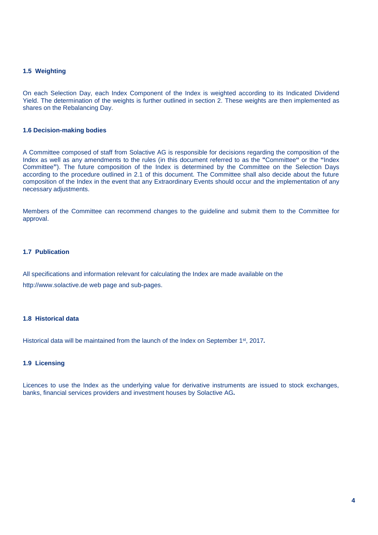### **1.5 Weighting**

On each Selection Day, each Index Component of the Index is weighted according to its Indicated Dividend Yield. The determination of the weights is further outlined in section 2. These weights are then implemented as shares on the Rebalancing Day.

#### **1.6 Decision-making bodies**

A Committee composed of staff from Solactive AG is responsible for decisions regarding the composition of the Index as well as any amendments to the rules (in this document referred to as the **"**Committee**"** or the **"**Index Committee**"**). The future composition of the Index is determined by the Committee on the Selection Days according to the procedure outlined in 2.1 of this document. The Committee shall also decide about the future composition of the Index in the event that any Extraordinary Events should occur and the implementation of any necessary adjustments.

Members of the Committee can recommend changes to the guideline and submit them to the Committee for approval.

### **1.7 Publication**

All specifications and information relevant for calculating the Index are made available on the http://www.solactive.de web page and sub-pages.

### **1.8 Historical data**

Historical data will be maintained from the launch of the Index on September 1<sup>st</sup>, 2017.

#### **1.9 Licensing**

Licences to use the Index as the underlying value for derivative instruments are issued to stock exchanges, banks, financial services providers and investment houses by Solactive AG*.*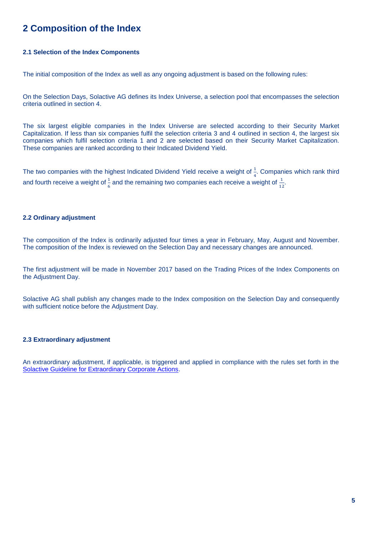## **2 Composition of the Index**

### **2.1 Selection of the Index Components**

The initial composition of the Index as well as any ongoing adjustment is based on the following rules:

On the Selection Days, Solactive AG defines its Index Universe, a selection pool that encompasses the selection criteria outlined in section 4.

The six largest eligible companies in the Index Universe are selected according to their Security Market Capitalization. If less than six companies fulfil the selection criteria 3 and 4 outlined in section 4, the largest six companies which fulfil selection criteria 1 and 2 are selected based on their Security Market Capitalization. These companies are ranked according to their Indicated Dividend Yield.

The two companies with the highest Indicated Dividend Yield receive a weight of  $\frac{1}{4}$ . Companies which rank third and fourth receive a weight of  $\frac{1}{6}$  and the remaining two companies each receive a weight of  $\frac{1}{12}$ .

### **2.2 Ordinary adjustment**

The composition of the Index is ordinarily adjusted four times a year in February, May, August and November. The composition of the Index is reviewed on the Selection Day and necessary changes are announced.

The first adjustment will be made in November 2017 based on the Trading Prices of the Index Components on the Adjustment Day.

Solactive AG shall publish any changes made to the Index composition on the Selection Day and consequently with sufficient notice before the Adjustment Day.

### **2.3 Extraordinary adjustment**

An extraordinary adjustment, if applicable, is triggered and applied in compliance with the rules set forth in the [Solactive Guideline for Extraordinary Corporate Actions.](https://www.solactive.com/wp-content/uploads/2017/02/ECA-Solactive-Guideline.pdf)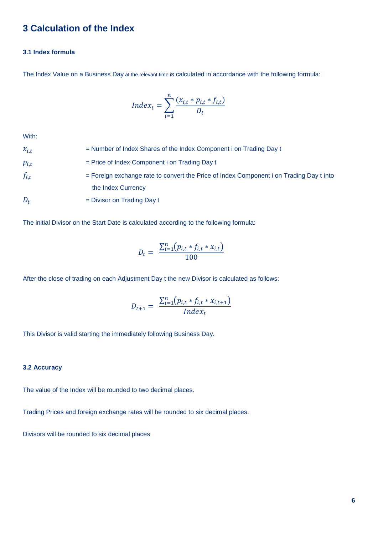### **3 Calculation of the Index**

### **3.1 Index formula**

The Index Value on a Business Day at the relevant time is calculated in accordance with the following formula:

$$
Index_t = \sum_{i=1}^{n} \frac{(x_{i,t} * p_{i,t} * f_{i,t})}{D_t}
$$

With:

| $x_{i,t}$ | = Number of Index Shares of the Index Component i on Trading Day t                        |
|-----------|-------------------------------------------------------------------------------------------|
| $p_{i,t}$ | $=$ Price of Index Component i on Trading Day t                                           |
| $f_{i,t}$ | $=$ Foreign exchange rate to convert the Price of Index Component i on Trading Day t into |
|           | the Index Currency                                                                        |
| $D_t$     | $=$ Divisor on Trading Day t                                                              |

The initial Divisor on the Start Date is calculated according to the following formula:

$$
D_t = \frac{\sum_{i=1}^{n} (p_{i,t} * f_{i,t} * x_{i,t})}{100}
$$

After the close of trading on each Adjustment Day t the new Divisor is calculated as follows:

$$
D_{t+1} = \frac{\sum_{i=1}^{n} (p_{i,t} * f_{i,t} * x_{i,t+1})}{Index_t}
$$

This Divisor is valid starting the immediately following Business Day.

### **3.2 Accuracy**

The value of the Index will be rounded to two decimal places.

Trading Prices and foreign exchange rates will be rounded to six decimal places.

Divisors will be rounded to six decimal places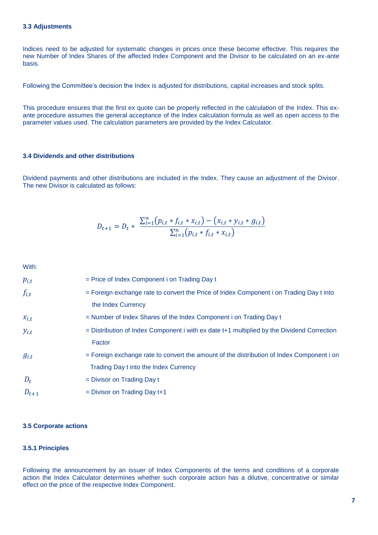### **3.3 Adjustments**

Indices need to be adjusted for systematic changes in prices once these become effective. This requires the new Number of Index Shares of the affected Index Component and the Divisor to be calculated on an ex-ante basis.

Following the Committee's decision the Index is adjusted for distributions, capital increases and stock splits.

This procedure ensures that the first ex quote can be properly reflected in the calculation of the Index. This exante procedure assumes the general acceptance of the Index calculation formula as well as open access to the parameter values used. The calculation parameters are provided by the Index Calculator.

### **3.4 Dividends and other distributions**

Dividend payments and other distributions are included in the Index. They cause an adjustment of the Divisor. The new Divisor is calculated as follows:

$$
D_{t+1} = D_t * \frac{\sum_{i=1}^{n} (p_{i,t} * f_{i,t} * x_{i,t}) - (x_{i,t} * y_{i,t} * g_{i,t})}{\sum_{i=1}^{n} (p_{i,t} * f_{i,t} * x_{i,t})}
$$

With:

| $p_{i,t}$ | $=$ Price of Index Component i on Trading Day t                                                |
|-----------|------------------------------------------------------------------------------------------------|
| $f_{i,t}$ | $=$ Foreign exchange rate to convert the Price of Index Component i on Trading Day t into      |
|           | the Index Currency                                                                             |
| $x_{i,t}$ | = Number of Index Shares of the Index Component i on Trading Day t                             |
| $y_{i,t}$ | $=$ Distribution of Index Component i with ex date $t+1$ multiplied by the Dividend Correction |
|           | Factor                                                                                         |
| $g_{i,t}$ | = Foreign exchange rate to convert the amount of the distribution of Index Component i on      |
|           | Trading Day t into the Index Currency                                                          |
| $D_t$     | $=$ Divisor on Trading Day t                                                                   |
| $D_{t+1}$ | $=$ Divisor on Trading Day $t+1$                                                               |

### **3.5 Corporate actions**

### **3.5.1 Principles**

Following the announcement by an issuer of Index Components of the terms and conditions of a corporate action the Index Calculator determines whether such corporate action has a dilutive, concentrative or similar effect on the price of the respective Index Component.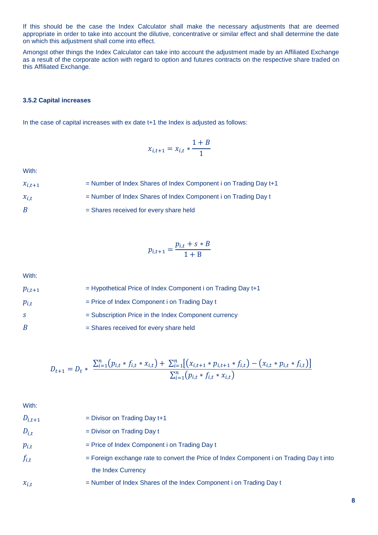If this should be the case the Index Calculator shall make the necessary adjustments that are deemed appropriate in order to take into account the dilutive, concentrative or similar effect and shall determine the date on which this adjustment shall come into effect.

Amongst other things the Index Calculator can take into account the adjustment made by an Affiliated Exchange as a result of the corporate action with regard to option and futures contracts on the respective share traded on this Affiliated Exchange.

### **3.5.2 Capital increases**

In the case of capital increases with ex date t+1 the Index is adjusted as follows:

$$
x_{i,t+1} = x_{i,t} * \frac{1+B}{1}
$$

With:

| $x_{i,t+1}$ | = Number of Index Shares of Index Component i on Trading Day t+1 |
|-------------|------------------------------------------------------------------|
| $x_{i,t}$   | = Number of Index Shares of Index Component i on Trading Day t   |
| B           | = Shares received for every share held                           |

$$
p_{i,t+1} = \frac{p_{i,t} + s * B}{1 + B}
$$

With:

| $p_{i,t+1}$ | $=$ Hypothetical Price of Index Component i on Trading Day $t+1$ |
|-------------|------------------------------------------------------------------|
| $p_{i,t}$   | $=$ Price of Index Component i on Trading Day t                  |
| S.          | = Subscription Price in the Index Component currency             |
| B           | = Shares received for every share held                           |

$$
D_{t+1} = D_t * \frac{\sum_{i=1}^{n} (p_{i,t} * f_{i,t} * x_{i,t}) + \sum_{i=1}^{n} [(x_{i,t+1} * p_{i,t+1} * f_{i,t}) - (x_{i,t} * p_{i,t} * f_{i,t})]}{\sum_{i=1}^{n} (p_{i,t} * f_{i,t} * x_{i,t})}
$$

With:

| $D_{i,t+1}$ | $=$ Divisor on Trading Day $t+1$                                                                              |
|-------------|---------------------------------------------------------------------------------------------------------------|
| $D_{i,t}$   | $=$ Divisor on Trading Day t                                                                                  |
| $p_{i,t}$   | $=$ Price of Index Component i on Trading Day t                                                               |
| $f_{i,t}$   | = Foreign exchange rate to convert the Price of Index Component i on Trading Day t into<br>the Index Currency |
| $x_{i,t}$   | = Number of Index Shares of the Index Component i on Trading Day t                                            |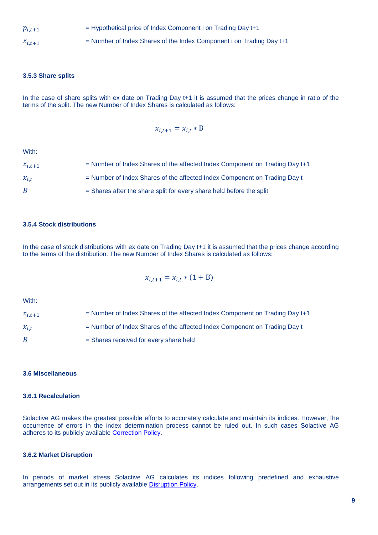$p_{i,t+1}$  = Hypothetical price of Index Component i on Trading Day t+1

 $x_{i,t+1}$  = Number of Index Shares of the Index Component i on Trading Day t+1

### **3.5.3 Share splits**

In the case of share splits with ex date on Trading Day t+1 it is assumed that the prices change in ratio of the terms of the split. The new Number of Index Shares is calculated as follows:

$$
x_{i,t+1} = x_{i,t} * B
$$

With:

| $x_{i,t+1}$ | $=$ Number of Index Shares of the affected Index Component on Trading Day t+1 |
|-------------|-------------------------------------------------------------------------------|
| $x_{i,t}$   | = Number of Index Shares of the affected Index Component on Trading Day t     |
| B           | = Shares after the share split for every share held before the split          |

### **3.5.4 Stock distributions**

In the case of stock distributions with ex date on Trading Day t+1 it is assumed that the prices change according to the terms of the distribution. The new Number of Index Shares is calculated as follows:

$$
x_{i,t+1} = x_{i,t} * (1 + B)
$$

With:

 $x_{i,t+1}$  = Number of Index Shares of the affected Index Component on Trading Day t+1  $x_{i,t}$  = Number of Index Shares of the affected Index Component on Trading Day t  $B =$ Shares received for every share held

### **3.6 Miscellaneous**

### **3.6.1 Recalculation**

Solactive AG makes the greatest possible efforts to accurately calculate and maintain its indices. However, the occurrence of errors in the index determination process cannot be ruled out. In such cases Solactive AG adheres to its publicly available [Correction Policy.](http://www.solactive.com/news/documents/)

### **3.6.2 Market Disruption**

In periods of market stress Solactive AG calculates its indices following predefined and exhaustive arrangements set out in its publicly available [Disruption Policy.](http://www.solactive.com/news/documents/)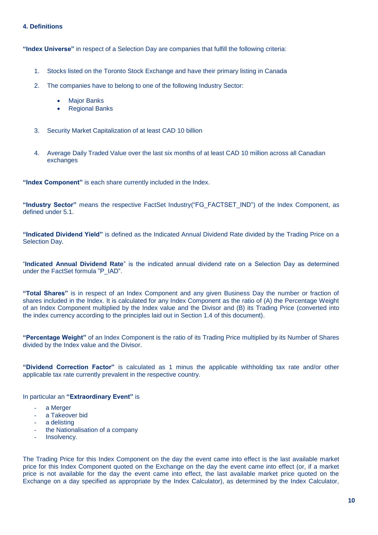### **4. Definitions**

**"Index Universe"** in respect of a Selection Day are companies that fulfill the following criteria:

- 1. Stocks listed on the Toronto Stock Exchange and have their primary listing in Canada
- 2. The companies have to belong to one of the following Industry Sector:
	- Major Banks
	- Regional Banks
- 3. Security Market Capitalization of at least CAD 10 billion
- 4. Average Daily Traded Value over the last six months of at least CAD 10 million across all Canadian exchanges

**"Index Component"** is each share currently included in the Index.

**"Industry Sector"** means the respective FactSet Industry("FG\_FACTSET\_IND") of the Index Component, as defined under 5.1.

**"Indicated Dividend Yield"** is defined as the Indicated Annual Dividend Rate divided by the Trading Price on a Selection Day.

"**Indicated Annual Dividend Rate**" is the indicated annual dividend rate on a Selection Day as determined under the FactSet formula "P\_IAD".

**"Total Shares"** is in respect of an Index Component and any given Business Day the number or fraction of shares included in the Index. It is calculated for any Index Component as the ratio of (A) the Percentage Weight of an Index Component multiplied by the Index value and the Divisor and (B) its Trading Price (converted into the index currency according to the principles laid out in Section 1.4 of this document).

**"Percentage Weight"** of an Index Component is the ratio of its Trading Price multiplied by its Number of Shares divided by the Index value and the Divisor.

**"Dividend Correction Factor"** is calculated as 1 minus the applicable withholding tax rate and/or other applicable tax rate currently prevalent in the respective country.

In particular an **"Extraordinary Event"** is

- a Merger
- a Takeover bid
- a delisting
- the Nationalisation of a company
- Insolvency.

The Trading Price for this Index Component on the day the event came into effect is the last available market price for this Index Component quoted on the Exchange on the day the event came into effect (or, if a market price is not available for the day the event came into effect, the last available market price quoted on the Exchange on a day specified as appropriate by the Index Calculator), as determined by the Index Calculator,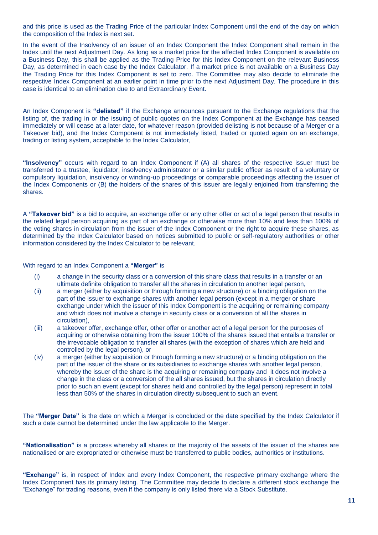and this price is used as the Trading Price of the particular Index Component until the end of the day on which the composition of the Index is next set.

In the event of the Insolvency of an issuer of an Index Component the Index Component shall remain in the Index until the next Adjustment Day. As long as a market price for the affected Index Component is available on a Business Day, this shall be applied as the Trading Price for this Index Component on the relevant Business Day, as determined in each case by the Index Calculator. If a market price is not available on a Business Day the Trading Price for this Index Component is set to zero. The Committee may also decide to eliminate the respective Index Component at an earlier point in time prior to the next Adjustment Day. The procedure in this case is identical to an elimination due to and Extraordinary Event.

An Index Component is **"delisted"** if the Exchange announces pursuant to the Exchange regulations that the listing of, the trading in or the issuing of public quotes on the Index Component at the Exchange has ceased immediately or will cease at a later date, for whatever reason (provided delisting is not because of a Merger or a Takeover bid), and the Index Component is not immediately listed, traded or quoted again on an exchange, trading or listing system, acceptable to the Index Calculator,

**"Insolvency"** occurs with regard to an Index Component if (A) all shares of the respective issuer must be transferred to a trustee, liquidator, insolvency administrator or a similar public officer as result of a voluntary or compulsory liquidation, insolvency or winding-up proceedings or comparable proceedings affecting the issuer of the Index Components or (B) the holders of the shares of this issuer are legally enjoined from transferring the shares.

A **"Takeover bid"** is a bid to acquire, an exchange offer or any other offer or act of a legal person that results in the related legal person acquiring as part of an exchange or otherwise more than 10% and less than 100% of the voting shares in circulation from the issuer of the Index Component or the right to acquire these shares, as determined by the Index Calculator based on notices submitted to public or self-regulatory authorities or other information considered by the Index Calculator to be relevant.

With regard to an Index Component a **"Merger"** is

- (i) a change in the security class or a conversion of this share class that results in a transfer or an ultimate definite obligation to transfer all the shares in circulation to another legal person,
- (ii) a merger (either by acquisition or through forming a new structure) or a binding obligation on the part of the issuer to exchange shares with another legal person (except in a merger or share exchange under which the issuer of this Index Component is the acquiring or remaining company and which does not involve a change in security class or a conversion of all the shares in circulation),
- (iii) a takeover offer, exchange offer, other offer or another act of a legal person for the purposes of acquiring or otherwise obtaining from the issuer 100% of the shares issued that entails a transfer or the irrevocable obligation to transfer all shares (with the exception of shares which are held and controlled by the legal person), or
- (iv) a merger (either by acquisition or through forming a new structure) or a binding obligation on the part of the issuer of the share or its subsidiaries to exchange shares with another legal person, whereby the issuer of the share is the acquiring or remaining company and it does not involve a change in the class or a conversion of the all shares issued, but the shares in circulation directly prior to such an event (except for shares held and controlled by the legal person) represent in total less than 50% of the shares in circulation directly subsequent to such an event.

The **"Merger Date"** is the date on which a Merger is concluded or the date specified by the Index Calculator if such a date cannot be determined under the law applicable to the Merger.

**"Nationalisation"** is a process whereby all shares or the majority of the assets of the issuer of the shares are nationalised or are expropriated or otherwise must be transferred to public bodies, authorities or institutions.

**"Exchange"** is, in respect of Index and every Index Component, the respective primary exchange where the Index Component has its primary listing. The Committee may decide to declare a different stock exchange the "Exchange" for trading reasons, even if the company is only listed there via a Stock Substitute.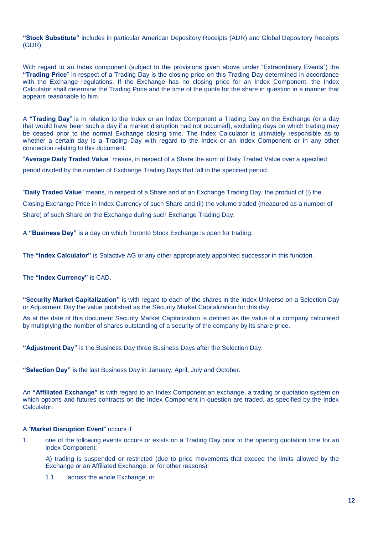**"Stock Substitute"** includes in particular American Depository Receipts (ADR) and Global Depository Receipts (GDR).

With regard to an Index component (subject to the provisions given above under "Extraordinary Events") the **"Trading Price**" in respect of a Trading Day is the closing price on this Trading Day determined in accordance with the Exchange regulations. If the Exchange has no closing price for an Index Component, the Index Calculator shall determine the Trading Price and the time of the quote for the share in question in a manner that appears reasonable to him.

A **"Trading Day**" is in relation to the Index or an Index Component a Trading Day on the Exchange (or a day that would have been such a day if a market disruption had not occurred), excluding days on which trading may be ceased prior to the normal Exchange closing time. The Index Calculator is ultimately responsible as to whether a certain day is a Trading Day with regard to the Index or an Index Component or in any other connection relating to this document.

"**Average Daily Traded Value**" means, in respect of a Share the sum of Daily Traded Value over a specified period divided by the number of Exchange Trading Days that fall in the specified period.

"**Daily Traded Value**" means, in respect of a Share and of an Exchange Trading Day, the product of (i) the Closing Exchange Price in Index Currency of such Share and (ii) the volume traded (measured as a number of Share) of such Share on the Exchange during such Exchange Trading Day.

A **"Business Day"** is a day on which Toronto Stock Exchange is open for trading.

The **"Index Calculator"** is Solactive AG or any other appropriately appointed successor in this function.

The **"Index Currency"** is CAD.

**"Security Market Capitalization"** is with regard to each of the shares in the Index Universe on a Selection Day or Adjustment Day the value published as the Security Market Capitalization for this day.

As at the date of this document Security Market Capitalization is defined as the value of a company calculated by multiplying the number of shares outstanding of a security of the company by its share price.

**"Adjustment Day"** is the Business Day three Business Days after the Selection Day.

**"Selection Day"** is the last Business Day in January, April, July and October.

An **"Affiliated Exchange"** is with regard to an Index Component an exchange, a trading or quotation system on which options and futures contracts on the Index Component in question are traded, as specified by the Index Calculator.

### A "**Market Disruption Event**" occurs if

1. one of the following events occurs or exists on a Trading Day prior to the opening quotation time for an Index Component:

A) trading is suspended or restricted (due to price movements that exceed the limits allowed by the Exchange or an Affiliated Exchange, or for other reasons):

1.1. across the whole Exchange; or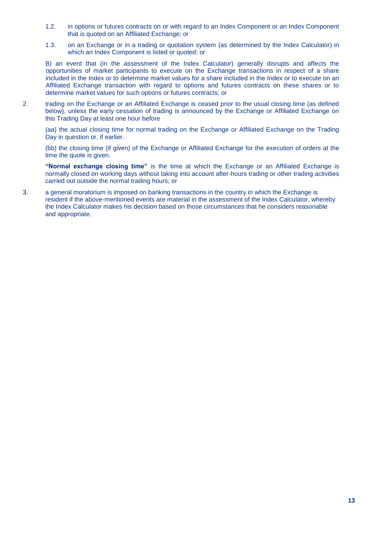- 1.2. in options or futures contracts on or with regard to an Index Component or an Index Component that is quoted on an Affiliated Exchange; or
- 1.3. on an Exchange or in a trading or quotation system (as determined by the Index Calculator) in which an Index Component is listed or quoted; or

B) an event that (in the assessment of the Index Calculator) generally disrupts and affects the opportunities of market participants to execute on the Exchange transactions in respect of a share included in the Index or to determine market values for a share included in the Index or to execute on an Affiliated Exchange transaction with regard to options and futures contracts on these shares or to determine market values for such options or futures contracts; or

2. trading on the Exchange or an Affiliated Exchange is ceased prior to the usual closing time (as defined below), unless the early cessation of trading is announced by the Exchange or Affiliated Exchange on this Trading Day at least one hour before

(aa) the actual closing time for normal trading on the Exchange or Affiliated Exchange on the Trading Day in question or, if earlier.

(bb) the closing time (if given) of the Exchange or Affiliated Exchange for the execution of orders at the time the quote is given.

**"Normal exchange closing time"** is the time at which the Exchange or an Affiliated Exchange is normally closed on working days without taking into account after-hours trading or other trading activities carried out outside the normal trading hours; or

3. a general moratorium is imposed on banking transactions in the country in which the Exchange is resident if the above-mentioned events are material in the assessment of the Index Calculator, whereby the Index Calculator makes his decision based on those circumstances that he considers reasonable and appropriate.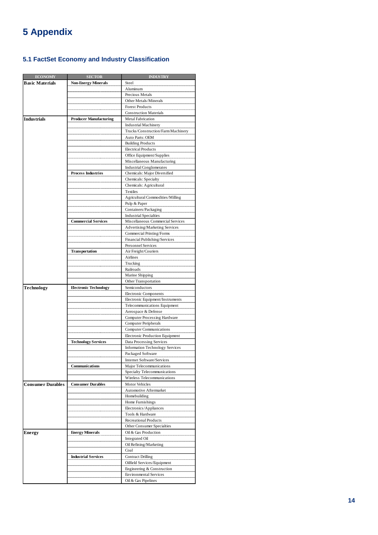## **5 Appendix**

### **5.1 FactSet Economy and Industry Classification**

| <b>ECONOMY</b>           | <b>SECTOR</b>                 | <b>INDUSTRY</b>                        |
|--------------------------|-------------------------------|----------------------------------------|
| <b>Basic Materials</b>   | <b>Non-Energy Minerals</b>    | Steel                                  |
|                          |                               | Aluminum                               |
|                          |                               | Precious Metals                        |
|                          |                               | Other Metals/Minerals                  |
|                          |                               | <b>Forest Products</b>                 |
|                          |                               | <b>Construction Materials</b>          |
| Industrials              | <b>Producer Manufacturing</b> | Metal Fabrication                      |
|                          |                               | <b>Industrial Machinery</b>            |
|                          |                               | Trucks/Construction/Farm Machinery     |
|                          |                               | Auto Parts: OEM                        |
|                          |                               | <b>Building Products</b>               |
|                          |                               | <b>Electrical Products</b>             |
|                          |                               | Office Equipment/Supplies              |
|                          |                               | Miscellaneous Manufacturing            |
|                          |                               | <b>Industrial Conglomerates</b>        |
|                          | <b>Process Industries</b>     | Chemicals: Major Diversified           |
|                          |                               |                                        |
|                          |                               | Chemicals: Specialty                   |
|                          |                               | Chemicals: Agricultural                |
|                          |                               | Textiles                               |
|                          |                               | Agricultural Commodities/Milling       |
|                          |                               | Pulp & Paper                           |
|                          |                               | Containers/Packaging                   |
|                          |                               | <b>Industrial Specialties</b>          |
|                          | <b>Commercial Services</b>    | Miscellaneous Commercial Services      |
|                          |                               | Advertising/Marketing Services         |
|                          |                               | Commercial Printing/Forms              |
|                          |                               | Financial Publishing/Services          |
|                          |                               | Personnel Services                     |
|                          | Transportation                | Air Freight/Couriers                   |
|                          |                               | Airlines                               |
|                          |                               | Trucking                               |
|                          |                               | Railroads                              |
|                          |                               | Marine Shipping                        |
|                          |                               | Other Transportation                   |
| Technology               | <b>Electronic Technology</b>  | Semiconductors                         |
|                          |                               | Electronic Components                  |
|                          |                               | Electronic Equipment/Instruments       |
|                          |                               | Telecommunications Equipment           |
|                          |                               | Aerospace & Defense                    |
|                          |                               | <b>Computer Processing Hardware</b>    |
|                          |                               | <b>Computer Peripherals</b>            |
|                          |                               | <b>Computer Communications</b>         |
|                          |                               | Electronic Production Equipment        |
|                          | <b>Technology Services</b>    | Data Processing Services               |
|                          |                               | <b>Information Technology Services</b> |
|                          |                               | Packaged Software                      |
|                          |                               | Internet Software/Services             |
|                          | Communications                |                                        |
|                          |                               | Major Telecommunications               |
|                          |                               | Specialty Telecommunications           |
|                          |                               | Wireless Telecommunications            |
| <b>Consumer Durables</b> | <b>Consumer Durables</b>      | <b>Motor Vehicles</b>                  |
|                          |                               | Automotive Aftermarket                 |
|                          |                               | Homebuilding                           |
|                          |                               | Home Furnishings                       |
|                          |                               | Electronics/Appliances                 |
|                          |                               | Tools & Hardware                       |
|                          |                               | <b>Recreational Products</b>           |
|                          |                               | Other Consumer Specialties             |
| Energy                   | <b>Energy Minerals</b>        | Oil & Gas Production                   |
|                          |                               | Integrated Oil                         |
|                          |                               | Oil Refining/Marketing                 |
|                          |                               | Coal                                   |
|                          | <b>Industrial Services</b>    | <b>Contract Drilling</b>               |
|                          |                               | Oilfield Services/Equipment            |
|                          |                               | Engineering & Construction             |
|                          |                               | <b>Environmental Services</b>          |
|                          |                               | Oil & Gas Pipelines                    |
|                          |                               |                                        |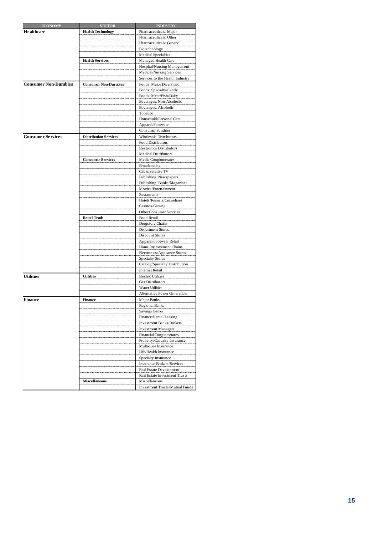| <b>ECONOMY</b>               | <b>SECTOR</b>                | <b>INDUSTRY</b>                 |
|------------------------------|------------------------------|---------------------------------|
| <b>Healthcare</b>            | <b>Health Technology</b>     | Pharmaceuticals: Major          |
|                              |                              | Pharmaceuticals: Other          |
|                              |                              | Pharmaceuticals: Generic        |
|                              |                              | Biotechnology                   |
|                              |                              | <b>Medical Specialties</b>      |
|                              | <b>Health Services</b>       | Managed Health Care             |
|                              |                              | Hospital/Nursing Management     |
|                              |                              | Medical/Nursing Services        |
|                              |                              | Services to the Health Industry |
| <b>Consumer Non-Durables</b> | <b>Consumer Non-Durables</b> | Foods: Major Diversified        |
|                              |                              | Foods: Specialty/Candy          |
|                              |                              | Foods: Meat/Fish/Dairy          |
|                              |                              | Beverages: Non-Alcoholic        |
|                              |                              | Beverages: Alcoholic            |
|                              |                              | Tobacco                         |
|                              |                              | Household/Personal Care         |
|                              |                              | Apparel/Footwear                |
|                              |                              | <b>Consumer Sundries</b>        |
| <b>Consumer Services</b>     | <b>Distribution Services</b> | <b>Wholesale Distributors</b>   |
|                              |                              | Food Distributors               |
|                              |                              | Electronics Distributors        |
|                              |                              | <b>Medical Distributors</b>     |
|                              | <b>Consumer Services</b>     | Media Conglomerates             |
|                              |                              | Broadcasting                    |
|                              |                              | Cable/Satellite TV              |
|                              |                              | Publishing: Newspapers          |
|                              |                              | Publishing: Books/Magazines     |
|                              |                              | Movies/Entertainment            |
|                              |                              | Restaurants                     |
|                              |                              | Hotels/Resorts/Cruiselines      |
|                              |                              | Casinos/Gaming                  |
|                              |                              | Other Consumer Services         |
|                              | <b>Retail Trade</b>          | Food Retail                     |
|                              |                              | Drugstore Chains                |
|                              |                              |                                 |
|                              |                              | Department Stores               |
|                              |                              | Discount Stores                 |
|                              |                              | Apparel/Footwear Retail         |
|                              |                              | Home Improvement Chains         |
|                              |                              | Electronics/Appliance Stores    |
|                              |                              | <b>Specialty Stores</b>         |
|                              |                              | Catalog/Specialty Distribution  |
|                              |                              | <b>Internet Retail</b>          |
| <b>Utilities</b>             | <b>Utilities</b>             | <b>Electric Utilities</b>       |
|                              |                              | Gas Distributors                |
|                              |                              | <b>Water Utilities</b>          |
|                              |                              | Alternative Power Generation    |
| <b>Finance</b>               | Finance                      | Major Banks                     |
|                              |                              | <b>Regional Banks</b>           |
|                              |                              | Savings Banks                   |
|                              |                              | Finance/Rental/Leasing          |
|                              |                              | Investment Banks/Brokers        |
|                              |                              | <b>Investment Managers</b>      |
|                              |                              | <b>Financial Conglomerates</b>  |
|                              |                              | Property/Casualty Insurance     |
|                              |                              | Multi-Line Insurance            |
|                              |                              | Life/Health Insurance           |
|                              |                              | Specialty Insurance             |
|                              |                              | Insurance Brokers/Services      |
|                              |                              | Real Estate Development         |
|                              |                              | Real Estate Investment Trusts   |
|                              | <b>Miscellaneous</b>         | Miscellaneous                   |
|                              |                              | Investment Trusts/Mutual Funds  |